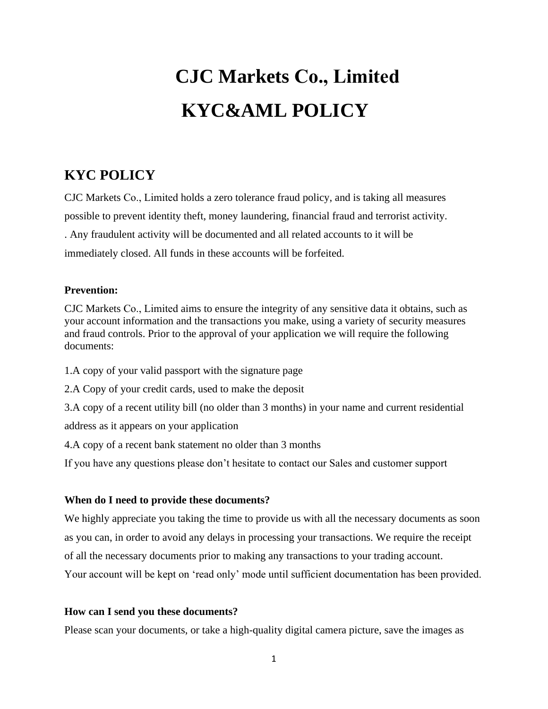# **CJC Markets Co., Limited KYC&AML POLICY**

## **KYC POLICY**

[CJC Markets](https://golden-fx.com/) Co., Limited holds a zero tolerance fraud policy, and is taking all measures possible to prevent identity theft, money laundering, financial fraud and terrorist activity. . Any fraudulent activity will be documented and all related accounts to it will be immediately closed. All funds in these accounts will be forfeited.

#### **Prevention:**

CJC Markets Co., Limited aims to ensure the integrity of any sensitive data it obtains, such as your account information and the transactions you make, using a variety of security measures and fraud controls. Prior to the approval of your application we will require the following documents:

1.A copy of your valid passport with the signature page

2.A Copy of your credit cards, used to make the deposit

3.A copy of a recent utility bill (no older than 3 months) in your name and current residential address as it appears on your application

4.A copy of a recent bank statement no older than 3 months

If you have any questions please don't hesitate to contact our Sales and customer support

#### **When do I need to provide these documents?**

We highly appreciate you taking the time to provide us with all the necessary documents as soon as you can, in order to avoid any delays in processing your transactions. We require the receipt of all the necessary documents prior to making any transactions to your trading account. Your account will be kept on 'read only' mode until sufficient documentation has been provided.

#### **How can I send you these documents?**

Please scan your documents, or take a high-quality digital camera picture, save the images as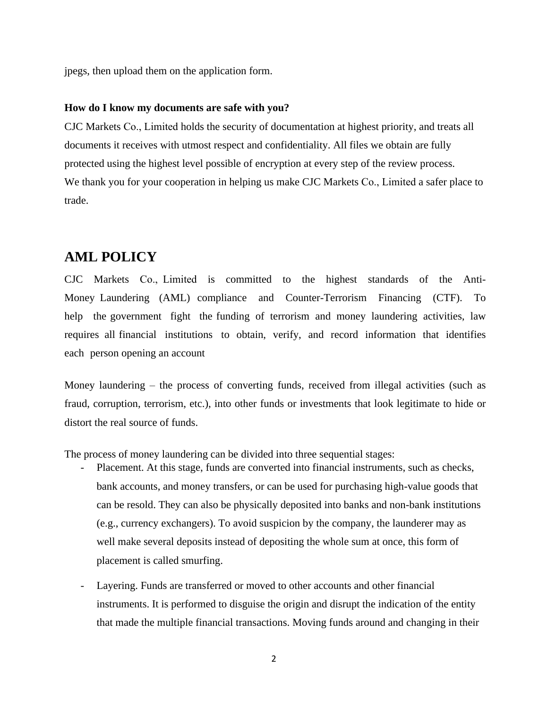jpegs, then upload them on the application form.

#### **How do I know my documents are safe with you?**

CJC Markets Co., Limited holds the security of documentation at highest priority, and treats all documents it receives with utmost respect and confidentiality. All files we obtain are fully protected using the highest level possible of encryption at every step of the review process. We thank you for your cooperation in helping us make CJC Markets Co., Limited a safer place to trade.

### **AML POLICY**

CJC Markets Co., Limited is committed to the highest standards of the Anti-Money Laundering (AML) compliance and Counter-Terrorism Financing (CTF). To help the government fight the funding of terrorism and money laundering activities, law requires all financial institutions to obtain, verify, and record information that identifies each person opening an account

Money laundering – the process of converting funds, received from illegal activities (such as fraud, corruption, terrorism, etc.), into other funds or investments that look legitimate to hide or distort the real source of funds.

The process of money laundering can be divided into three sequential stages:

- Placement. At this stage, funds are converted into financial instruments, such as checks, bank accounts, and money transfers, or can be used for purchasing high-value goods that can be resold. They can also be physically deposited into banks and non-bank institutions (e.g., currency exchangers). To avoid suspicion by the company, the launderer may as well make several deposits instead of depositing the whole sum at once, this form of placement is called smurfing.
- Layering. Funds are transferred or moved to other accounts and other financial instruments. It is performed to disguise the origin and disrupt the indication of the entity that made the multiple financial transactions. Moving funds around and changing in their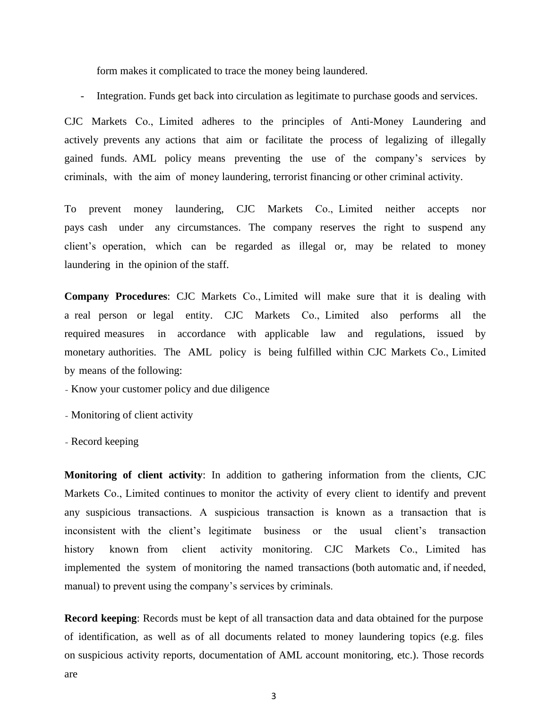form makes it complicated to trace the money being laundered.

Integration. Funds get back into circulation as legitimate to purchase goods and services.

CJC Markets Co., Limited adheres to the principles of Anti-Money Laundering and actively prevents any actions that aim or facilitate the process of legalizing of illegally gained funds. AML policy means preventing the use of the company's services by criminals, with the aim of money laundering, terrorist financing or other criminal activity.

To prevent money laundering, CJC Markets Co., Limited neither accepts nor pays cash under any circumstances. The company reserves the right to suspend any client's operation, which can be regarded as illegal or, may be related to money laundering in the opinion of the staff.

**Company Procedures**: CJC Markets Co., Limited will make sure that it is dealing with a real person or legal entity. CJC Markets Co., Limited also performs all the required measures in accordance with applicable law and regulations, issued by monetary authorities. The AML policy is being fulfilled within CJC Markets Co., Limited by means of the following:

- Know your customer policy and due diligence

- Monitoring of client activity

- Record keeping

**Monitoring of client activity**: In addition to gathering information from the clients, CJC Markets Co., Limited continues to monitor the activity of every client to identify and prevent any suspicious transactions. A suspicious transaction is known as a transaction that is inconsistent with the client's legitimate business or the usual client's transaction history known from client activity monitoring. CJC Markets Co., Limited has implemented the system of monitoring the named transactions (both automatic and, if needed, manual) to prevent using the company's services by criminals.

**Record keeping**: Records must be kept of all transaction data and data obtained for the purpose of identification, as well as of all documents related to money laundering topics (e.g. files on suspicious activity reports, documentation of AML account monitoring, etc.). Those records are